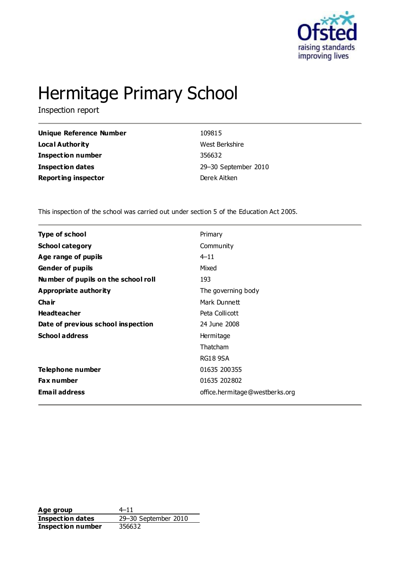

# Hermitage Primary School

Inspection report

| <b>Unique Reference Number</b> | 109815               |
|--------------------------------|----------------------|
| <b>Local Authority</b>         | West Berkshire       |
| <b>Inspection number</b>       | 356632               |
| <b>Inspection dates</b>        | 29-30 September 2010 |
| <b>Reporting inspector</b>     | Derek Aitken         |

This inspection of the school was carried out under section 5 of the Education Act 2005.

| <b>Type of school</b>               | Primary                        |
|-------------------------------------|--------------------------------|
| <b>School category</b>              | Community                      |
| Age range of pupils                 | $4 - 11$                       |
| <b>Gender of pupils</b>             | Mixed                          |
| Number of pupils on the school roll | 193                            |
| <b>Appropriate authority</b>        | The governing body             |
| Cha ir                              | Mark Dunnett                   |
| <b>Headteacher</b>                  | Peta Collicott                 |
| Date of previous school inspection  | 24 June 2008                   |
| <b>School address</b>               | Hermitage                      |
|                                     | Thatcham                       |
|                                     | <b>RG18 9SA</b>                |
| Telephone number                    | 01635 200355                   |
| <b>Fax number</b>                   | 01635 202802                   |
| <b>Email address</b>                | office.hermitage@westberks.org |

**Age group** 4–11 **Inspection dates** 29–30 September 2010 **Inspection number** 356632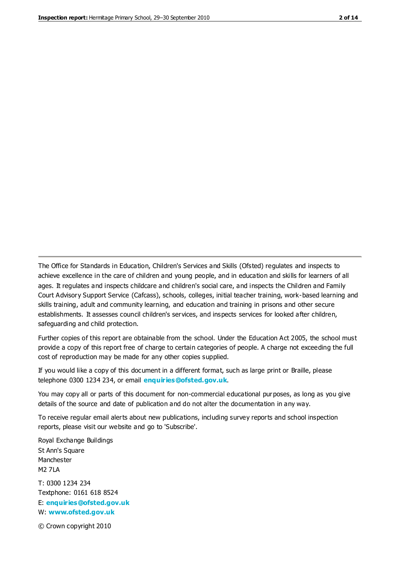The Office for Standards in Education, Children's Services and Skills (Ofsted) regulates and inspects to achieve excellence in the care of children and young people, and in education and skills for learners of all ages. It regulates and inspects childcare and children's social care, and inspects the Children and Family Court Advisory Support Service (Cafcass), schools, colleges, initial teacher training, work-based learning and skills training, adult and community learning, and education and training in prisons and other secure establishments. It assesses council children's services, and inspects services for looked after children, safeguarding and child protection.

Further copies of this report are obtainable from the school. Under the Education Act 2005, the school must provide a copy of this report free of charge to certain categories of people. A charge not exceeding the full cost of reproduction may be made for any other copies supplied.

If you would like a copy of this document in a different format, such as large print or Braille, please telephone 0300 1234 234, or email **[enquiries@ofsted.gov.uk](mailto:enquiries@ofsted.gov.uk)**.

You may copy all or parts of this document for non-commercial educational purposes, as long as you give details of the source and date of publication and do not alter the documentation in any way.

To receive regular email alerts about new publications, including survey reports and school inspection reports, please visit our website and go to 'Subscribe'.

Royal Exchange Buildings St Ann's Square Manchester M2 7LA T: 0300 1234 234 Textphone: 0161 618 8524 E: **[enquiries@ofsted.gov.uk](mailto:enquiries@ofsted.gov.uk)** W: **[www.ofsted.gov.uk](http://www.ofsted.gov.uk/)**

© Crown copyright 2010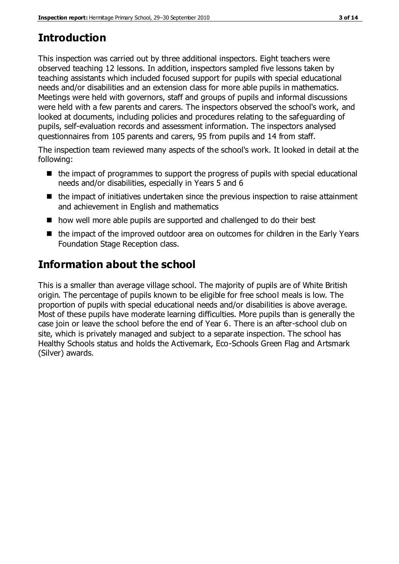# **Introduction**

This inspection was carried out by three additional inspectors. Eight teachers were observed teaching 12 lessons. In addition, inspectors sampled five lessons taken by teaching assistants which included focused support for pupils with special educational needs and/or disabilities and an extension class for more able pupils in mathematics. Meetings were held with governors, staff and groups of pupils and informal discussions were held with a few parents and carers. The inspectors observed the school's work, and looked at documents, including policies and procedures relating to the safeguarding of pupils, self-evaluation records and assessment information. The inspectors analysed questionnaires from 105 parents and carers, 95 from pupils and 14 from staff.

The inspection team reviewed many aspects of the school's work. It looked in detail at the following:

- $\blacksquare$  the impact of programmes to support the progress of pupils with special educational needs and/or disabilities, especially in Years 5 and 6
- $\blacksquare$  the impact of initiatives undertaken since the previous inspection to raise attainment and achievement in English and mathematics
- how well more able pupils are supported and challenged to do their best
- the impact of the improved outdoor area on outcomes for children in the Early Years Foundation Stage Reception class.

# **Information about the school**

This is a smaller than average village school. The majority of pupils are of White British origin. The percentage of pupils known to be eligible for free school meals is low. The proportion of pupils with special educational needs and/or disabilities is above average. Most of these pupils have moderate learning difficulties. More pupils than is generally the case join or leave the school before the end of Year 6. There is an after-school club on site, which is privately managed and subject to a separate inspection. The school has Healthy Schools status and holds the Activemark, Eco-Schools Green Flag and Artsmark (Silver) awards.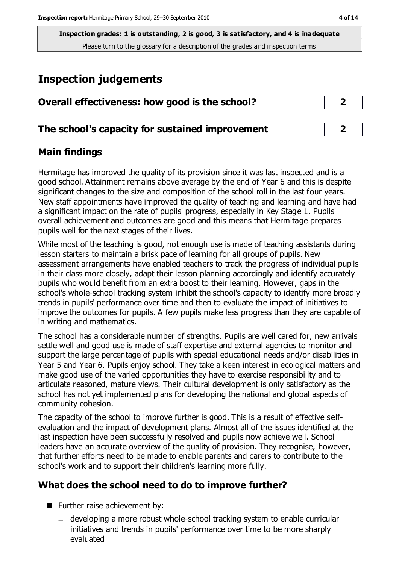**Inspection grades: 1 is outstanding, 2 is good, 3 is satisfactory, and 4 is inadequate** Please turn to the glossary for a description of the grades and inspection terms

## **Inspection judgements**

| Overall effectiveness: how good is the school?  |  |
|-------------------------------------------------|--|
| The school's capacity for sustained improvement |  |

## **Main findings**

Hermitage has improved the quality of its provision since it was last inspected and is a good school. Attainment remains above average by the end of Year 6 and this is despite significant changes to the size and composition of the school roll in the last four years. New staff appointments have improved the quality of teaching and learning and have had a significant impact on the rate of pupils' progress, especially in Key Stage 1. Pupils' overall achievement and outcomes are good and this means that Hermitage prepares pupils well for the next stages of their lives.

While most of the teaching is good, not enough use is made of teaching assistants during lesson starters to maintain a brisk pace of learning for all groups of pupils. New assessment arrangements have enabled teachers to track the progress of individual pupils in their class more closely, adapt their lesson planning accordingly and identify accurately pupils who would benefit from an extra boost to their learning. However, gaps in the school's whole-school tracking system inhibit the school's capacity to identify more broadly trends in pupils' performance over time and then to evaluate the impact of initiatives to improve the outcomes for pupils. A few pupils make less progress than they are capable of in writing and mathematics.

The school has a considerable number of strengths. Pupils are well cared for, new arrivals settle well and good use is made of staff expertise and external agencies to monitor and support the large percentage of pupils with special educational needs and/or disabilities in Year 5 and Year 6. Pupils enjoy school. They take a keen interest in ecological matters and make good use of the varied opportunities they have to exercise responsibility and to articulate reasoned, mature views. Their cultural development is only satisfactory as the school has not yet implemented plans for developing the national and global aspects of community cohesion.

The capacity of the school to improve further is good. This is a result of effective selfevaluation and the impact of development plans. Almost all of the issues identified at the last inspection have been successfully resolved and pupils now achieve well. School leaders have an accurate overview of the quality of provision. They recognise, however, that further efforts need to be made to enable parents and carers to contribute to the school's work and to support their children's learning more fully.

## **What does the school need to do to improve further?**

- **Further raise achievement by:** 
	- developing a more robust whole-school tracking system to enable curricular initiatives and trends in pupils' performance over time to be more sharply evaluated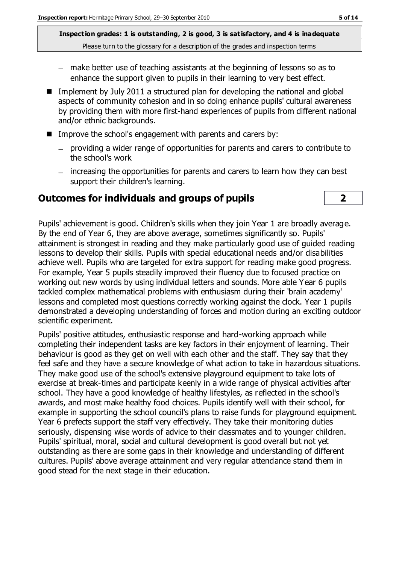**Inspection grades: 1 is outstanding, 2 is good, 3 is satisfactory, and 4 is inadequate** Please turn to the glossary for a description of the grades and inspection terms

- make better use of teaching assistants at the beginning of lessons so as to enhance the support given to pupils in their learning to very best effect.
- **IMPLEM** Implement by July 2011 a structured plan for developing the national and global aspects of community cohesion and in so doing enhance pupils' cultural awareness by providing them with more first-hand experiences of pupils from different national and/or ethnic backgrounds.
- Improve the school's engagement with parents and carers by:
	- providing a wider range of opportunities for parents and carers to contribute to the school's work
	- increasing the opportunities for parents and carers to learn how they can best support their children's learning.

#### **Outcomes for individuals and groups of pupils 2**

Pupils' achievement is good. Children's skills when they join Year 1 are broadly average. By the end of Year 6, they are above average, sometimes significantly so. Pupils' attainment is strongest in reading and they make particularly good use of guided reading lessons to develop their skills. Pupils with special educational needs and/or disabilities achieve well. Pupils who are targeted for extra support for reading make good progress. For example, Year 5 pupils steadily improved their fluency due to focused practice on working out new words by using individual letters and sounds. More able Year 6 pupils tackled complex mathematical problems with enthusiasm during their 'brain academy' lessons and completed most questions correctly working against the clock. Year 1 pupils demonstrated a developing understanding of forces and motion during an exciting outdoor scientific experiment.

Pupils' positive attitudes, enthusiastic response and hard-working approach while completing their independent tasks are key factors in their enjoyment of learning. Their behaviour is good as they get on well with each other and the staff. They say that they feel safe and they have a secure knowledge of what action to take in hazardous situations. They make good use of the school's extensive playground equipment to take lots of exercise at break-times and participate keenly in a wide range of physical activities after school. They have a good knowledge of healthy lifestyles, as reflected in the school's awards, and most make healthy food choices. Pupils identify well with their school, for example in supporting the school council's plans to raise funds for playground equipment. Year 6 prefects support the staff very effectively. They take their monitoring duties seriously, dispensing wise words of advice to their classmates and to younger children. Pupils' spiritual, moral, social and cultural development is good overall but not yet outstanding as there are some gaps in their knowledge and understanding of different cultures. Pupils' above average attainment and very regular attendance stand them in good stead for the next stage in their education.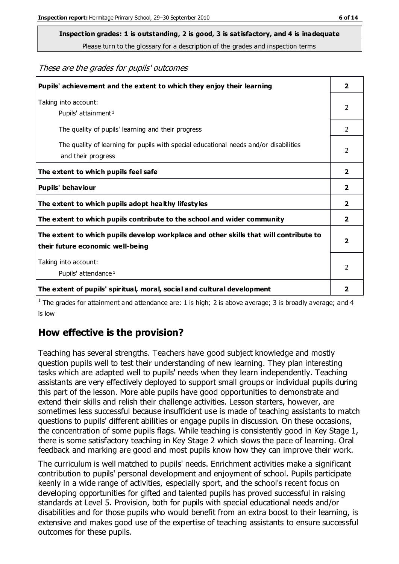Please turn to the glossary for a description of the grades and inspection terms

These are the grades for pupils' outcomes

| Pupils' achievement and the extent to which they enjoy their learning                                                     |               |
|---------------------------------------------------------------------------------------------------------------------------|---------------|
| Taking into account:<br>Pupils' attainment <sup>1</sup>                                                                   |               |
| The quality of pupils' learning and their progress                                                                        | $\mathcal{P}$ |
| The quality of learning for pupils with special educational needs and/or disabilities<br>and their progress               | $\mathcal{P}$ |
| The extent to which pupils feel safe                                                                                      |               |
| Pupils' behaviour                                                                                                         |               |
| The extent to which pupils adopt healthy lifestyles                                                                       |               |
| The extent to which pupils contribute to the school and wider community                                                   |               |
| The extent to which pupils develop workplace and other skills that will contribute to<br>their future economic well-being |               |
| Taking into account:<br>Pupils' attendance <sup>1</sup>                                                                   |               |
| The extent of pupils' spiritual, moral, social and cultural development                                                   | 2             |

<sup>1</sup> The grades for attainment and attendance are: 1 is high; 2 is above average; 3 is broadly average; and 4 is low

## **How effective is the provision?**

Teaching has several strengths. Teachers have good subject knowledge and mostly question pupils well to test their understanding of new learning. They plan interesting tasks which are adapted well to pupils' needs when they learn independently. Teaching assistants are very effectively deployed to support small groups or individual pupils during this part of the lesson. More able pupils have good opportunities to demonstrate and extend their skills and relish their challenge activities. Lesson starters, however, are sometimes less successful because insufficient use is made of teaching assistants to match questions to pupils' different abilities or engage pupils in discussion. On these occasions, the concentration of some pupils flags. While teaching is consistently good in Key Stage 1, there is some satisfactory teaching in Key Stage 2 which slows the pace of learning. Oral feedback and marking are good and most pupils know how they can improve their work.

The curriculum is well matched to pupils' needs. Enrichment activities make a significant contribution to pupils' personal development and enjoyment of school. Pupils participate keenly in a wide range of activities, especially sport, and the school's recent focus on developing opportunities for gifted and talented pupils has proved successful in raising standards at Level 5. Provision, both for pupils with special educational needs and/or disabilities and for those pupils who would benefit from an extra boost to their learning, is extensive and makes good use of the expertise of teaching assistants to ensure successful outcomes for these pupils.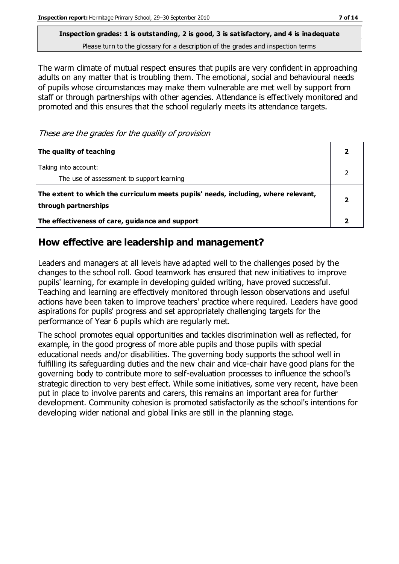Please turn to the glossary for a description of the grades and inspection terms

The warm climate of mutual respect ensures that pupils are very confident in approaching adults on any matter that is troubling them. The emotional, social and behavioural needs of pupils whose circumstances may make them vulnerable are met well by support from staff or through partnerships with other agencies. Attendance is effectively monitored and promoted and this ensures that the school regularly meets its attendance targets.

These are the grades for the quality of provision

| The quality of teaching                                                                                    |  |
|------------------------------------------------------------------------------------------------------------|--|
| Taking into account:<br>The use of assessment to support learning                                          |  |
| The extent to which the curriculum meets pupils' needs, including, where relevant,<br>through partnerships |  |
| The effectiveness of care, guidance and support                                                            |  |

## **How effective are leadership and management?**

Leaders and managers at all levels have adapted well to the challenges posed by the changes to the school roll. Good teamwork has ensured that new initiatives to improve pupils' learning, for example in developing guided writing, have proved successful. Teaching and learning are effectively monitored through lesson observations and useful actions have been taken to improve teachers' practice where required. Leaders have good aspirations for pupils' progress and set appropriately challenging targets for the performance of Year 6 pupils which are regularly met.

The school promotes equal opportunities and tackles discrimination well as reflected, for example, in the good progress of more able pupils and those pupils with special educational needs and/or disabilities. The governing body supports the school well in fulfilling its safeguarding duties and the new chair and vice-chair have good plans for the governing body to contribute more to self-evaluation processes to influence the school's strategic direction to very best effect. While some initiatives, some very recent, have been put in place to involve parents and carers, this remains an important area for further development. Community cohesion is promoted satisfactorily as the school's intentions for developing wider national and global links are still in the planning stage.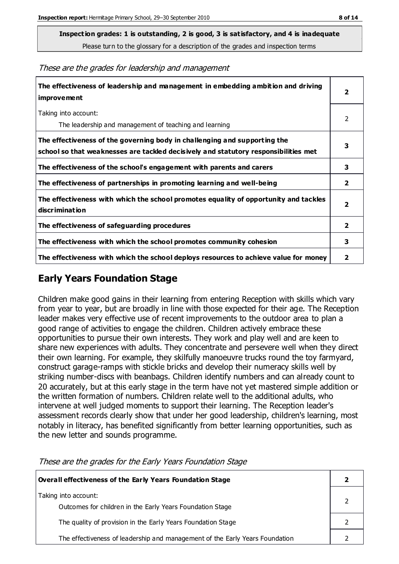Please turn to the glossary for a description of the grades and inspection terms

These are the grades for leadership and management

| The effectiveness of leadership and management in embedding ambition and driving<br>improvement                                                                  |                         |
|------------------------------------------------------------------------------------------------------------------------------------------------------------------|-------------------------|
| Taking into account:<br>The leadership and management of teaching and learning                                                                                   | 2                       |
| The effectiveness of the governing body in challenging and supporting the<br>school so that weaknesses are tackled decisively and statutory responsibilities met | 3                       |
| The effectiveness of the school's engagement with parents and carers                                                                                             | 3                       |
| The effectiveness of partnerships in promoting learning and well-being                                                                                           | $\overline{2}$          |
| The effectiveness with which the school promotes equality of opportunity and tackles<br>discrimination                                                           | $\overline{\mathbf{2}}$ |
| The effectiveness of safeguarding procedures                                                                                                                     | $\overline{\mathbf{2}}$ |
| The effectiveness with which the school promotes community cohesion                                                                                              |                         |
| The effectiveness with which the school deploys resources to achieve value for money                                                                             | 2                       |

#### **Early Years Foundation Stage**

Children make good gains in their learning from entering Reception with skills which vary from year to year, but are broadly in line with those expected for their age. The Reception leader makes very effective use of recent improvements to the outdoor area to plan a good range of activities to engage the children. Children actively embrace these opportunities to pursue their own interests. They work and play well and are keen to share new experiences with adults. They concentrate and persevere well when they direct their own learning. For example, they skilfully manoeuvre trucks round the toy farmyard, construct garage-ramps with stickle bricks and develop their numeracy skills well by striking number-discs with beanbags. Children identify numbers and can already count to 20 accurately, but at this early stage in the term have not yet mastered simple addition or the written formation of numbers. Children relate well to the additional adults, who intervene at well judged moments to support their learning. The Reception leader's assessment records clearly show that under her good leadership, children's learning, most notably in literacy, has benefited significantly from better learning opportunities, such as the new letter and sounds programme.

**Overall effectiveness of the Early Years Foundation Stage 2** Taking into account: Outcomes for children in the Early Years Foundation Stage 2 The quality of provision in the Early Years Foundation Stage **2** 2 The effectiveness of leadership and management of the Early Years Foundation 2

These are the grades for the Early Years Foundation Stage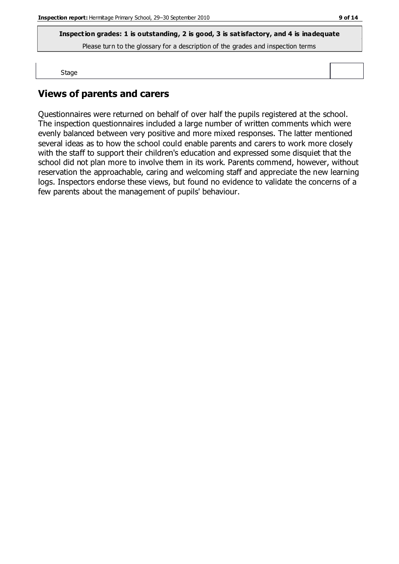Please turn to the glossary for a description of the grades and inspection terms

Stage

#### **Views of parents and carers**

Questionnaires were returned on behalf of over half the pupils registered at the school. The inspection questionnaires included a large number of written comments which were evenly balanced between very positive and more mixed responses. The latter mentioned several ideas as to how the school could enable parents and carers to work more closely with the staff to support their children's education and expressed some disquiet that the school did not plan more to involve them in its work. Parents commend, however, without reservation the approachable, caring and welcoming staff and appreciate the new learning logs. Inspectors endorse these views, but found no evidence to validate the concerns of a few parents about the management of pupils' behaviour.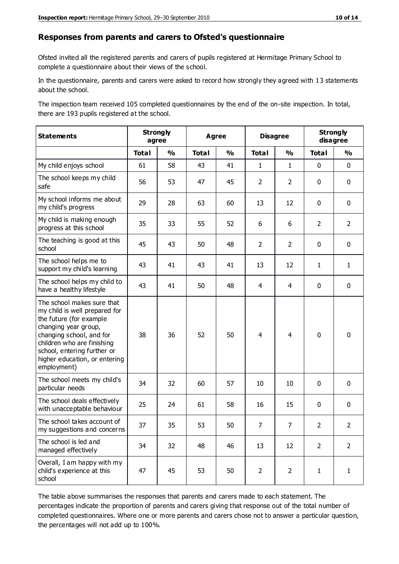#### **Responses from parents and carers to Ofsted's questionnaire**

Ofsted invited all the registered parents and carers of pupils registered at Hermitage Primary School to complete a questionnaire about their views of the school.

In the questionnaire, parents and carers were asked to record how strongly they agreed with 13 statements about the school.

The inspection team received 105 completed questionnaires by the end of the on-site inspection. In total, there are 193 pupils registered at the school.

| <b>Statements</b>                                                                                                                                                                                                                                       | <b>Strongly</b><br>agree |               | <b>Agree</b> |               |                | <b>Disagree</b> |                | <b>Strongly</b><br>disagree |  |
|---------------------------------------------------------------------------------------------------------------------------------------------------------------------------------------------------------------------------------------------------------|--------------------------|---------------|--------------|---------------|----------------|-----------------|----------------|-----------------------------|--|
|                                                                                                                                                                                                                                                         | <b>Total</b>             | $\frac{1}{2}$ | <b>Total</b> | $\frac{0}{0}$ | <b>Total</b>   | $\frac{1}{2}$   | <b>Total</b>   | $\frac{0}{0}$               |  |
| My child enjoys school                                                                                                                                                                                                                                  | 61                       | 58            | 43           | 41            | $\mathbf{1}$   | $\mathbf{1}$    | $\mathbf 0$    | $\mathbf 0$                 |  |
| The school keeps my child<br>safe                                                                                                                                                                                                                       | 56                       | 53            | 47           | 45            | $\overline{2}$ | $\overline{2}$  | $\mathbf 0$    | $\mathbf 0$                 |  |
| My school informs me about<br>my child's progress                                                                                                                                                                                                       | 29                       | 28            | 63           | 60            | 13             | 12              | $\mathbf 0$    | $\mathbf 0$                 |  |
| My child is making enough<br>progress at this school                                                                                                                                                                                                    | 35                       | 33            | 55           | 52            | 6              | 6               | $\overline{2}$ | $\overline{2}$              |  |
| The teaching is good at this<br>school                                                                                                                                                                                                                  | 45                       | 43            | 50           | 48            | $\overline{2}$ | $\overline{2}$  | $\mathbf 0$    | $\mathbf 0$                 |  |
| The school helps me to<br>support my child's learning                                                                                                                                                                                                   | 43                       | 41            | 43           | 41            | 13             | 12              | $\mathbf{1}$   | $\mathbf{1}$                |  |
| The school helps my child to<br>have a healthy lifestyle                                                                                                                                                                                                | 43                       | 41            | 50           | 48            | 4              | $\overline{4}$  | $\mathbf 0$    | $\mathbf 0$                 |  |
| The school makes sure that<br>my child is well prepared for<br>the future (for example<br>changing year group,<br>changing school, and for<br>children who are finishing<br>school, entering further or<br>higher education, or entering<br>employment) | 38                       | 36            | 52           | 50            | $\overline{4}$ | 4               | $\mathbf 0$    | $\mathbf 0$                 |  |
| The school meets my child's<br>particular needs                                                                                                                                                                                                         | 34                       | 32            | 60           | 57            | 10             | 10              | $\mathbf 0$    | $\mathbf 0$                 |  |
| The school deals effectively<br>with unacceptable behaviour                                                                                                                                                                                             | 25                       | 24            | 61           | 58            | 16             | 15              | $\mathbf 0$    | $\pmb{0}$                   |  |
| The school takes account of<br>my suggestions and concerns                                                                                                                                                                                              | 37                       | 35            | 53           | 50            | 7              | 7               | $\overline{2}$ | $\mathcal{P}$               |  |
| The school is led and<br>managed effectively                                                                                                                                                                                                            | 34                       | 32            | 48           | 46            | 13             | 12              | $\overline{2}$ | $\overline{2}$              |  |
| Overall, I am happy with my<br>child's experience at this<br>school                                                                                                                                                                                     | 47                       | 45            | 53           | 50            | $\overline{2}$ | $\overline{2}$  | $\mathbf{1}$   | $\mathbf{1}$                |  |

The table above summarises the responses that parents and carers made to each statement. The percentages indicate the proportion of parents and carers giving that response out of the total number of completed questionnaires. Where one or more parents and carers chose not to answer a particular question, the percentages will not add up to 100%.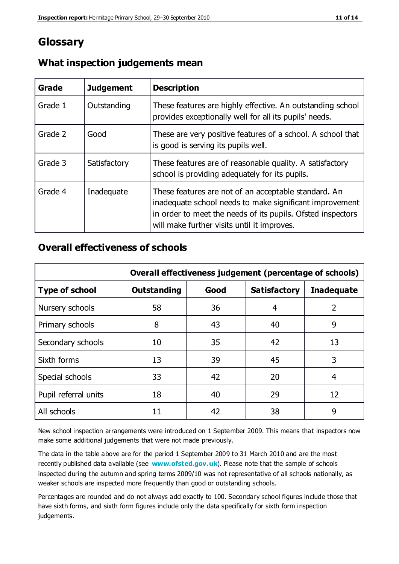## **Glossary**

| Grade   | <b>Judgement</b> | <b>Description</b>                                                                                                                                                                                                            |
|---------|------------------|-------------------------------------------------------------------------------------------------------------------------------------------------------------------------------------------------------------------------------|
| Grade 1 | Outstanding      | These features are highly effective. An outstanding school<br>provides exceptionally well for all its pupils' needs.                                                                                                          |
| Grade 2 | Good             | These are very positive features of a school. A school that<br>is good is serving its pupils well.                                                                                                                            |
| Grade 3 | Satisfactory     | These features are of reasonable quality. A satisfactory<br>school is providing adequately for its pupils.                                                                                                                    |
| Grade 4 | Inadequate       | These features are not of an acceptable standard. An<br>inadequate school needs to make significant improvement<br>in order to meet the needs of its pupils. Ofsted inspectors<br>will make further visits until it improves. |

#### **What inspection judgements mean**

#### **Overall effectiveness of schools**

|                       | Overall effectiveness judgement (percentage of schools) |      |                     |                   |
|-----------------------|---------------------------------------------------------|------|---------------------|-------------------|
| <b>Type of school</b> | <b>Outstanding</b>                                      | Good | <b>Satisfactory</b> | <b>Inadequate</b> |
| Nursery schools       | 58                                                      | 36   | 4                   | 2                 |
| Primary schools       | 8                                                       | 43   | 40                  | 9                 |
| Secondary schools     | 10                                                      | 35   | 42                  | 13                |
| Sixth forms           | 13                                                      | 39   | 45                  | 3                 |
| Special schools       | 33                                                      | 42   | 20                  | 4                 |
| Pupil referral units  | 18                                                      | 40   | 29                  | 12                |
| All schools           | 11                                                      | 42   | 38                  | 9                 |

New school inspection arrangements were introduced on 1 September 2009. This means that inspectors now make some additional judgements that were not made previously.

The data in the table above are for the period 1 September 2009 to 31 March 2010 and are the most recently published data available (see **[www.ofsted.gov.uk](http://www.ofsted.gov.uk/)**). Please note that the sample of schools inspected during the autumn and spring terms 2009/10 was not representative of all schools nationally, as weaker schools are inspected more frequently than good or outstanding schools.

Percentages are rounded and do not always add exactly to 100. Secondary school figures include those that have sixth forms, and sixth form figures include only the data specifically for sixth form inspection judgements.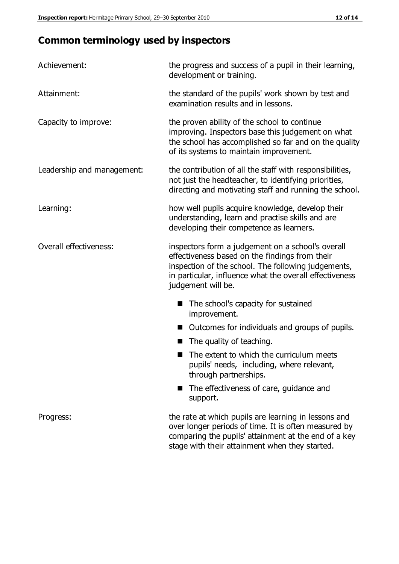## **Common terminology used by inspectors**

| Achievement:               | the progress and success of a pupil in their learning,<br>development or training.                                                                                                                                                          |  |  |
|----------------------------|---------------------------------------------------------------------------------------------------------------------------------------------------------------------------------------------------------------------------------------------|--|--|
| Attainment:                | the standard of the pupils' work shown by test and<br>examination results and in lessons.                                                                                                                                                   |  |  |
| Capacity to improve:       | the proven ability of the school to continue<br>improving. Inspectors base this judgement on what<br>the school has accomplished so far and on the quality<br>of its systems to maintain improvement.                                       |  |  |
| Leadership and management: | the contribution of all the staff with responsibilities,<br>not just the headteacher, to identifying priorities,<br>directing and motivating staff and running the school.                                                                  |  |  |
| Learning:                  | how well pupils acquire knowledge, develop their<br>understanding, learn and practise skills and are<br>developing their competence as learners.                                                                                            |  |  |
| Overall effectiveness:     | inspectors form a judgement on a school's overall<br>effectiveness based on the findings from their<br>inspection of the school. The following judgements,<br>in particular, influence what the overall effectiveness<br>judgement will be. |  |  |
|                            | The school's capacity for sustained<br>improvement.                                                                                                                                                                                         |  |  |
|                            | Outcomes for individuals and groups of pupils.                                                                                                                                                                                              |  |  |
|                            | The quality of teaching.                                                                                                                                                                                                                    |  |  |
|                            | The extent to which the curriculum meets<br>pupils' needs, including, where relevant,<br>through partnerships.                                                                                                                              |  |  |
|                            | The effectiveness of care, guidance and<br>support.                                                                                                                                                                                         |  |  |
| Progress:                  | the rate at which pupils are learning in lessons and<br>over longer periods of time. It is often measured by<br>comparing the pupils' attainment at the end of a key                                                                        |  |  |

stage with their attainment when they started.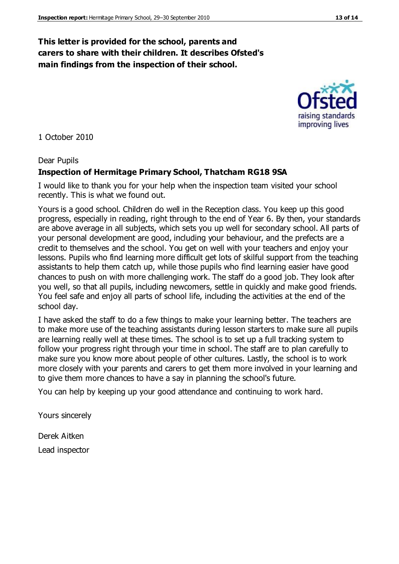#### **This letter is provided for the school, parents and carers to share with their children. It describes Ofsted's main findings from the inspection of their school.**

1 October 2010

#### Dear Pupils

#### **Inspection of Hermitage Primary School, Thatcham RG18 9SA**

I would like to thank you for your help when the inspection team visited your school recently. This is what we found out.

Yours is a good school. Children do well in the Reception class. You keep up this good progress, especially in reading, right through to the end of Year 6. By then, your standards are above average in all subjects, which sets you up well for secondary school. All parts of your personal development are good, including your behaviour, and the prefects are a credit to themselves and the school. You get on well with your teachers and enjoy your lessons. Pupils who find learning more difficult get lots of skilful support from the teaching assistants to help them catch up, while those pupils who find learning easier have good chances to push on with more challenging work. The staff do a good job. They look after you well, so that all pupils, including newcomers, settle in quickly and make good friends. You feel safe and enjoy all parts of school life, including the activities at the end of the school day.

I have asked the staff to do a few things to make your learning better. The teachers are to make more use of the teaching assistants during lesson starters to make sure all pupils are learning really well at these times. The school is to set up a full tracking system to follow your progress right through your time in school. The staff are to plan carefully to make sure you know more about people of other cultures. Lastly, the school is to work more closely with your parents and carers to get them more involved in your learning and to give them more chances to have a say in planning the school's future.

You can help by keeping up your good attendance and continuing to work hard.

Yours sincerely

Derek Aitken Lead inspector